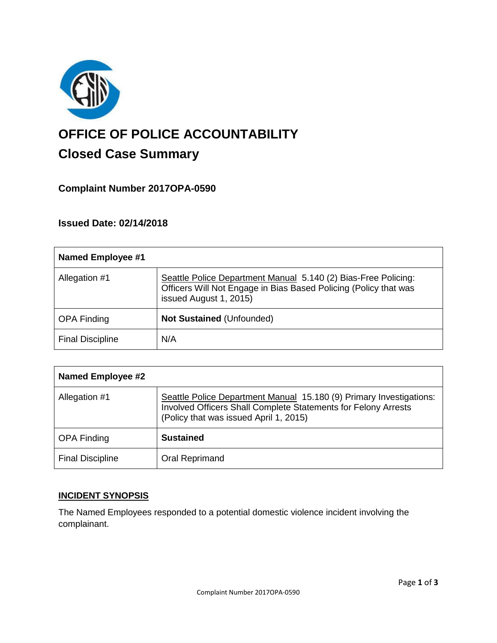

# **OFFICE OF POLICE ACCOUNTABILITY**

# **Closed Case Summary**

## **Complaint Number 2017OPA-0590**

### **Issued Date: 02/14/2018**

| <b>Named Employee #1</b> |                                                                                                                                                              |
|--------------------------|--------------------------------------------------------------------------------------------------------------------------------------------------------------|
| Allegation #1            | Seattle Police Department Manual 5.140 (2) Bias-Free Policing:<br>Officers Will Not Engage in Bias Based Policing (Policy that was<br>issued August 1, 2015) |
| <b>OPA Finding</b>       | <b>Not Sustained (Unfounded)</b>                                                                                                                             |
| <b>Final Discipline</b>  | N/A                                                                                                                                                          |

| <b>Named Employee #2</b> |                                                                                                                                                                                 |
|--------------------------|---------------------------------------------------------------------------------------------------------------------------------------------------------------------------------|
| Allegation #1            | Seattle Police Department Manual 15.180 (9) Primary Investigations:<br>Involved Officers Shall Complete Statements for Felony Arrests<br>(Policy that was issued April 1, 2015) |
| <b>OPA Finding</b>       | <b>Sustained</b>                                                                                                                                                                |
| <b>Final Discipline</b>  | Oral Reprimand                                                                                                                                                                  |

#### **INCIDENT SYNOPSIS**

The Named Employees responded to a potential domestic violence incident involving the complainant.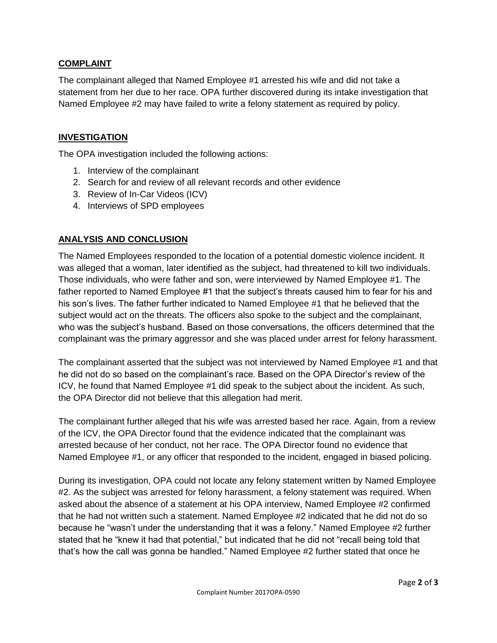#### **COMPLAINT**

The complainant alleged that Named Employee #1 arrested his wife and did not take a statement from her due to her race. OPA further discovered during its intake investigation that Named Employee #2 may have failed to write a felony statement as required by policy.

#### **INVESTIGATION**

The OPA investigation included the following actions:

- 1. Interview of the complainant
- 2. Search for and review of all relevant records and other evidence
- 3. Review of In-Car Videos (ICV)
- 4. Interviews of SPD employees

#### **ANALYSIS AND CONCLUSION**

The Named Employees responded to the location of a potential domestic violence incident. It was alleged that a woman, later identified as the subject, had threatened to kill two individuals. Those individuals, who were father and son, were interviewed by Named Employee #1. The father reported to Named Employee #1 that the subject's threats caused him to fear for his and his son's lives. The father further indicated to Named Employee #1 that he believed that the subject would act on the threats. The officers also spoke to the subject and the complainant, who was the subject's husband. Based on those conversations, the officers determined that the complainant was the primary aggressor and she was placed under arrest for felony harassment.

The complainant asserted that the subject was not interviewed by Named Employee #1 and that he did not do so based on the complainant's race. Based on the OPA Director's review of the ICV, he found that Named Employee #1 did speak to the subject about the incident. As such, the OPA Director did not believe that this allegation had merit.

The complainant further alleged that his wife was arrested based her race. Again, from a review of the ICV, the OPA Director found that the evidence indicated that the complainant was arrested because of her conduct, not her race. The OPA Director found no evidence that Named Employee #1, or any officer that responded to the incident, engaged in biased policing.

During its investigation, OPA could not locate any felony statement written by Named Employee #2. As the subject was arrested for felony harassment, a felony statement was required. When asked about the absence of a statement at his OPA interview, Named Employee #2 confirmed that he had not written such a statement. Named Employee #2 indicated that he did not do so because he "wasn't under the understanding that it was a felony." Named Employee #2 further stated that he "knew it had that potential," but indicated that he did not "recall being told that that's how the call was gonna be handled." Named Employee #2 further stated that once he